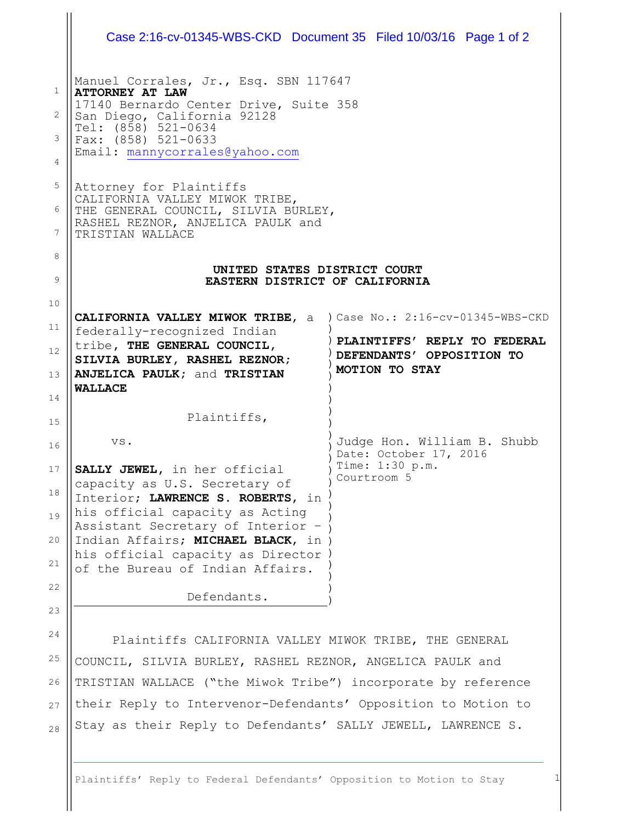|                       | Case 2:16-cv-01345-WBS-CKD Document 35 Filed 10/03/16 Page 1 of 2         |                                           |  |
|-----------------------|---------------------------------------------------------------------------|-------------------------------------------|--|
| 1                     | Manuel Corrales, Jr., Esq. SBN 117647<br><b>ATTORNEY AT LAW</b>           |                                           |  |
|                       | 17140 Bernardo Center Drive, Suite 358                                    |                                           |  |
| $\mathbf{2}^{\prime}$ | San Diego, California 92128<br>Tel: (858) 521-0634                        |                                           |  |
| 3                     | Fax: (858) 521-0633                                                       |                                           |  |
| 4                     | Email: mannycorrales@yahoo.com                                            |                                           |  |
| 5                     | Attorney for Plaintiffs                                                   |                                           |  |
| 6                     | CALIFORNIA VALLEY MIWOK TRIBE,<br>THE GENERAL COUNCIL, SILVIA BURLEY,     |                                           |  |
|                       | RASHEL REZNOR, ANJELICA PAULK and                                         |                                           |  |
| 7                     | TRISTIAN WALLACE                                                          |                                           |  |
| 8                     |                                                                           |                                           |  |
| 9                     | UNITED STATES DISTRICT COURT<br>EASTERN DISTRICT OF CALIFORNIA            |                                           |  |
| 10                    |                                                                           |                                           |  |
| 11                    | <b>CALIFORNIA VALLEY MIWOK TRIBE, a</b>                                   | ) Case No.: 2:16-cv-01345-WBS-CKD         |  |
|                       | federally-recognized Indian<br>tribe, THE GENERAL COUNCIL,                | PLAINTIFFS' REPLY TO FEDERAL              |  |
| 12                    | SILVIA BURLEY, RASHEL REZNOR;                                             | DEFENDANTS' OPPOSITION TO                 |  |
| 13                    | ANJELICA PAULK; and TRISTIAN                                              | MOTION TO STAY                            |  |
|                       | <b>WALLACE</b>                                                            |                                           |  |
| 14                    |                                                                           |                                           |  |
| 15                    | Plaintiffs,                                                               |                                           |  |
| 16                    | VS.                                                                       | Judge Hon. William B. Shubb               |  |
|                       |                                                                           | Date: October 17, 2016<br>Time: 1:30 p.m. |  |
| 17                    | SALLY JEWEL, in her official<br>capacity as U.S. Secretary of             | Courtroom 5                               |  |
| 18                    | Interior; LAWRENCE S. ROBERTS, in                                         |                                           |  |
| 19                    | his official capacity as Acting                                           |                                           |  |
|                       | Assistant Secretary of Interior -                                         |                                           |  |
| 20                    | Indian Affairs; MICHAEL BLACK, in )<br>his official capacity as Director) |                                           |  |
| 21                    | of the Bureau of Indian Affairs.                                          |                                           |  |
| 22                    |                                                                           |                                           |  |
| 23                    | Defendants.                                                               |                                           |  |
| 24                    | Plaintiffs CALIFORNIA VALLEY MIWOK TRIBE, THE GENERAL                     |                                           |  |
| 25                    | COUNCIL, SILVIA BURLEY, RASHEL REZNOR, ANGELICA PAULK and                 |                                           |  |

27 ||their Reply to Intervenor-Defendants' Opposition to Motion to  $\parallel$  Stay as their Reply to Defendants' SALLY JEWELL, LAWRENCE S.

Plaintiffs' Reply to Federal Defendants' Opposition to Motion to Stay 1

28